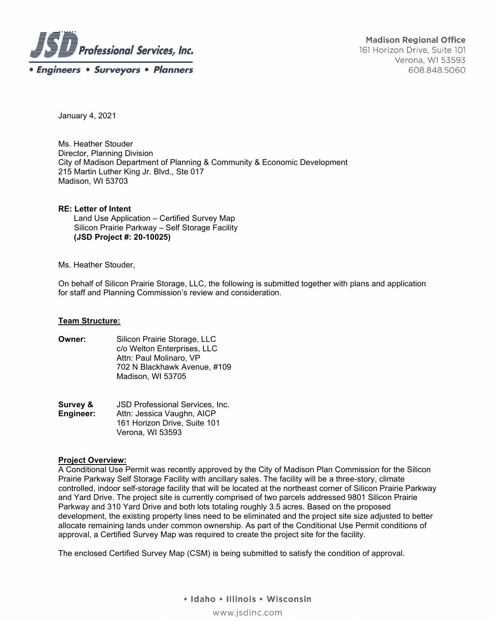

January 4, 2021

Ms. Heather Stouder Director, Planning Division City of Madison Department of Planning & Community & Economic Development 215 Martin Luther King Jr. Blvd., Ste 017 Madison, WI 53703

**RE: Letter of Intent**  Land Use Application – Certified Survey Map Silicon Prairie Parkway – Self Storage Facility  **(JSD Project #: 20-10025)** 

### Ms. Heather Stouder,

On behalf of Silicon Prairie Storage, LLC, the following is submitted together with plans and application for staff and Planning Commission's review and consideration.

### **Team Structure:**

- **Owner:** Silicon Prairie Storage, LLC c/o Welton Enterprises, LLC Attn: Paul Molinaro, VP 702 N Blackhawk Avenue, #109 Madison, WI 53705
- **Survey & JSD Professional Services, Inc.<br>
<b>Engineer:** Attn: Jessica Vaughn, AICP Attn: Jessica Vaughn, AICP 161 Horizon Drive, Suite 101 Verona, WI 53593

## **Project Overview:**

A Conditional Use Permit was recently approved by the City of Madison Plan Commission for the Silicon Prairie Parkway Self Storage Facility with ancillary sales. The facility will be a three-story, climate controlled, indoor self-storage facility that will be located at the northeast corner of Silicon Prairie Parkway and Yard Drive. The project site is currently comprised of two parcels addressed 9801 Silicon Prairie Parkway and 310 Yard Drive and both lots totaling roughly 3.5 acres. Based on the proposed development, the existing property lines need to be eliminated and the project site size adjusted to better allocate remaining lands under common ownership. As part of the Conditional Use Permit conditions of approval, a Certified Survey Map was required to create the project site for the facility.

The enclosed Certified Survey Map (CSM) is being submitted to satisfy the condition of approval.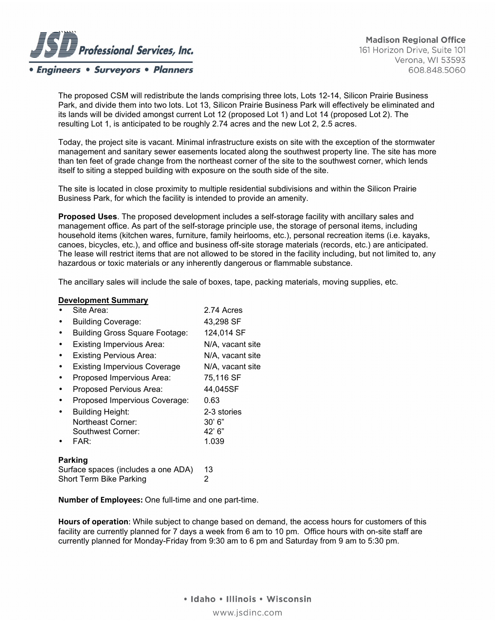

**Engineers • Surveyors • Planners** 

**Madison Regional Office** 161 Horizon Drive, Suite 101 Verona, WI 53593 608.848.5060

The proposed CSM will redistribute the lands comprising three lots, Lots 12-14, Silicon Prairie Business Park, and divide them into two lots. Lot 13, Silicon Prairie Business Park will effectively be eliminated and its lands will be divided amongst current Lot 12 (proposed Lot 1) and Lot 14 (proposed Lot 2). The resulting Lot 1, is anticipated to be roughly 2.74 acres and the new Lot 2, 2.5 acres.

Today, the project site is vacant. Minimal infrastructure exists on site with the exception of the stormwater management and sanitary sewer easements located along the southwest property line. The site has more than ten feet of grade change from the northeast corner of the site to the southwest corner, which lends itself to siting a stepped building with exposure on the south side of the site.

The site is located in close proximity to multiple residential subdivisions and within the Silicon Prairie Business Park, for which the facility is intended to provide an amenity.

**Proposed Uses**. The proposed development includes a self-storage facility with ancillary sales and management office. As part of the self-storage principle use, the storage of personal items, including household items (kitchen wares, furniture, family heirlooms, etc.), personal recreation items (i.e. kayaks, canoes, bicycles, etc.), and office and business off-site storage materials (records, etc.) are anticipated. The lease will restrict items that are not allowed to be stored in the facility including, but not limited to, any hazardous or toxic materials or any inherently dangerous or flammable substance.

The ancillary sales will include the sale of boxes, tape, packing materials, moving supplies, etc.

#### **Development Summary**

| Site Area:                            | 2.74 Acres       |
|---------------------------------------|------------------|
| <b>Building Coverage:</b>             | 43,298 SF        |
| <b>Building Gross Square Footage:</b> | 124,014 SF       |
| <b>Existing Impervious Area:</b>      | N/A, vacant site |
| <b>Existing Pervious Area:</b>        | N/A, vacant site |
| <b>Existing Impervious Coverage</b>   | N/A, vacant site |
| Proposed Impervious Area:             | 75,116 SF        |
| Proposed Pervious Area:               | 44,045SF         |
| Proposed Impervious Coverage:         | 0.63             |
| <b>Building Height:</b>               | 2-3 stories      |
| Northeast Corner:                     | 30' 6''          |
| Southwest Corner:                     | 42' 6"           |
| FAR:                                  | 1.039            |
|                                       |                  |
|                                       |                  |

## **Parking**

| Surface spaces (includes a one ADA) | 13 |
|-------------------------------------|----|
| Short Term Bike Parking             |    |

**Number of Employees:** One full-time and one part-time.

**Hours of operation**: While subject to change based on demand, the access hours for customers of this facility are currently planned for 7 days a week from 6 am to 10 pm. Office hours with on-site staff are currently planned for Monday-Friday from 9:30 am to 6 pm and Saturday from 9 am to 5:30 pm.